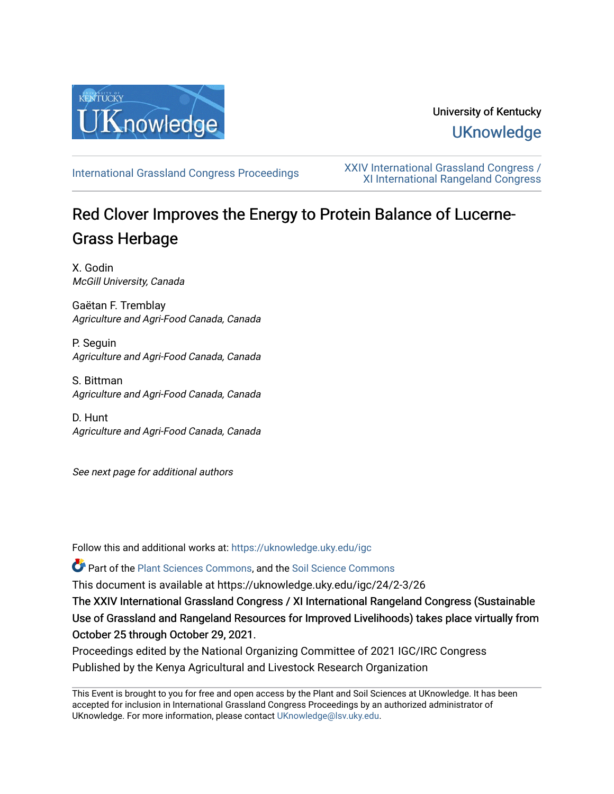

## University of Kentucky **UKnowledge**

[International Grassland Congress Proceedings](https://uknowledge.uky.edu/igc) [XXIV International Grassland Congress /](https://uknowledge.uky.edu/igc/24)  [XI International Rangeland Congress](https://uknowledge.uky.edu/igc/24) 

# Red Clover Improves the Energy to Protein Balance of Lucerne-Grass Herbage

X. Godin McGill University, Canada

Gaëtan F. Tremblay Agriculture and Agri-Food Canada, Canada

P. Seguin Agriculture and Agri-Food Canada, Canada

S. Bittman Agriculture and Agri-Food Canada, Canada

D. Hunt Agriculture and Agri-Food Canada, Canada

See next page for additional authors

Follow this and additional works at: [https://uknowledge.uky.edu/igc](https://uknowledge.uky.edu/igc?utm_source=uknowledge.uky.edu%2Figc%2F24%2F2-3%2F26&utm_medium=PDF&utm_campaign=PDFCoverPages) 

Part of the [Plant Sciences Commons](http://network.bepress.com/hgg/discipline/102?utm_source=uknowledge.uky.edu%2Figc%2F24%2F2-3%2F26&utm_medium=PDF&utm_campaign=PDFCoverPages), and the [Soil Science Commons](http://network.bepress.com/hgg/discipline/163?utm_source=uknowledge.uky.edu%2Figc%2F24%2F2-3%2F26&utm_medium=PDF&utm_campaign=PDFCoverPages) 

This document is available at https://uknowledge.uky.edu/igc/24/2-3/26

The XXIV International Grassland Congress / XI International Rangeland Congress (Sustainable Use of Grassland and Rangeland Resources for Improved Livelihoods) takes place virtually from October 25 through October 29, 2021.

Proceedings edited by the National Organizing Committee of 2021 IGC/IRC Congress Published by the Kenya Agricultural and Livestock Research Organization

This Event is brought to you for free and open access by the Plant and Soil Sciences at UKnowledge. It has been accepted for inclusion in International Grassland Congress Proceedings by an authorized administrator of UKnowledge. For more information, please contact [UKnowledge@lsv.uky.edu](mailto:UKnowledge@lsv.uky.edu).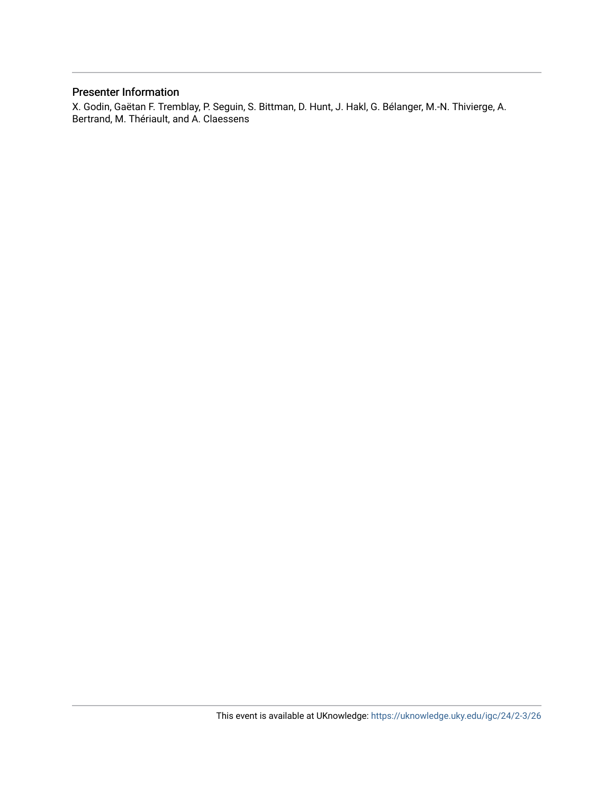#### Presenter Information

X. Godin, Gaëtan F. Tremblay, P. Seguin, S. Bittman, D. Hunt, J. Hakl, G. Bélanger, M.-N. Thivierge, A. Bertrand, M. Thériault, and A. Claessens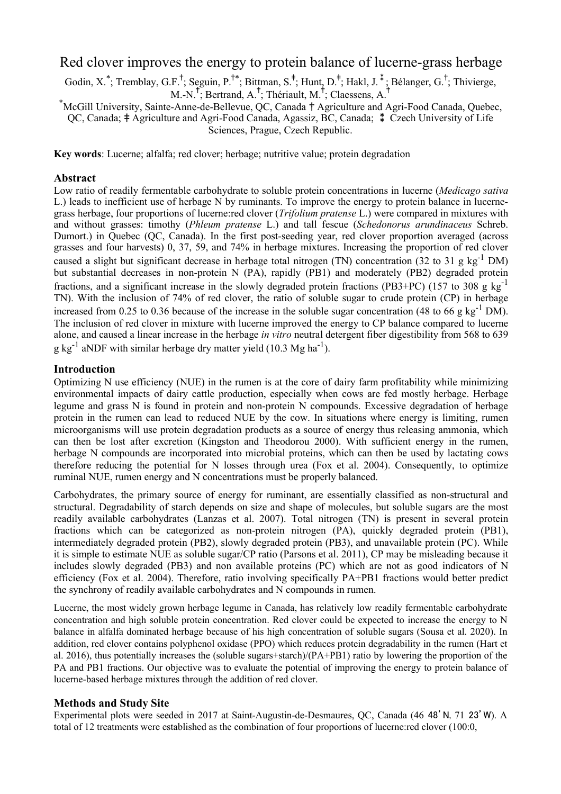### Red clover improves the energy to protein balance of lucerne-grass herbage

Godin, X.\*; Tremblay, G.F.<sup>†</sup>; Seguin, P.<sup>†\*</sup>; Bittman, S.<sup>‡</sup>; Hunt, D.<sup>‡</sup>; Hakl, J.<sup>‡</sup>; Bélanger, G.<sup>†</sup>; Thivierge, M.-N.<sup>†</sup>; Bertrand, A.<sup>†</sup>; Thériault, M.<sup>†</sup>; Claessens, A.<sup>†</sup>

\* McGill University, Sainte-Anne-de-Bellevue, QC, Canada † Agriculture and Agri-Food Canada, Quebec, QC, Canada; ‡ Agriculture and Agri-Food Canada, Agassiz, BC, Canada; ⁑ Czech University of Life Sciences, Prague, Czech Republic.

**Key words**: Lucerne; alfalfa; red clover; herbage; nutritive value; protein degradation

#### **Abstract**

Low ratio of readily fermentable carbohydrate to soluble protein concentrations in lucerne (*Medicago sativa* L.) leads to inefficient use of herbage N by ruminants. To improve the energy to protein balance in lucernegrass herbage, four proportions of lucerne:red clover (*Trifolium pratense* L.) were compared in mixtures with and without grasses: timothy (*Phleum pratense* L.) and tall fescue (*Schedonorus arundinaceus* Schreb. Dumort.) in Quebec (QC, Canada). In the first post-seeding year, red clover proportion averaged (across grasses and four harvests) 0, 37, 59, and 74% in herbage mixtures. Increasing the proportion of red clover caused a slight but significant decrease in herbage total nitrogen (TN) concentration (32 to 31 g kg<sup>-1</sup> DM) but substantial decreases in non-protein N (PA), rapidly (PB1) and moderately (PB2) degraded protein fractions, and a significant increase in the slowly degraded protein fractions (PB3+PC) (157 to 308 g kg<sup>-1</sup> TN). With the inclusion of 74% of red clover, the ratio of soluble sugar to crude protein (CP) in herbage increased from 0.25 to 0.36 because of the increase in the soluble sugar concentration (48 to 66 g kg<sup>-1</sup> DM). The inclusion of red clover in mixture with lucerne improved the energy to CP balance compared to lucerne alone, and caused a linear increase in the herbage *in vitro* neutral detergent fiber digestibility from 568 to 639 g kg<sup>-1</sup> aNDF with similar herbage dry matter yield (10.3 Mg ha<sup>-1</sup>).

#### **Introduction**

Optimizing N use efficiency (NUE) in the rumen is at the core of dairy farm profitability while minimizing environmental impacts of dairy cattle production, especially when cows are fed mostly herbage. Herbage legume and grass N is found in protein and non-protein N compounds. Excessive degradation of herbage protein in the rumen can lead to reduced NUE by the cow. In situations where energy is limiting, rumen microorganisms will use protein degradation products as a source of energy thus releasing ammonia, which can then be lost after excretion (Kingston and Theodorou 2000). With sufficient energy in the rumen, herbage N compounds are incorporated into microbial proteins, which can then be used by lactating cows therefore reducing the potential for N losses through urea (Fox et al. 2004). Consequently, to optimize ruminal NUE, rumen energy and N concentrations must be properly balanced.

Carbohydrates, the primary source of energy for ruminant, are essentially classified as non-structural and structural. Degradability of starch depends on size and shape of molecules, but soluble sugars are the most readily available carbohydrates (Lanzas et al. 2007). Total nitrogen (TN) is present in several protein fractions which can be categorized as non-protein nitrogen (PA), quickly degraded protein (PB1), intermediately degraded protein (PB2), slowly degraded protein (PB3), and unavailable protein (PC). While it is simple to estimate NUE as soluble sugar/CP ratio (Parsons et al. 2011), CP may be misleading because it includes slowly degraded (PB3) and non available proteins (PC) which are not as good indicators of N efficiency (Fox et al. 2004). Therefore, ratio involving specifically PA+PB1 fractions would better predict the synchrony of readily available carbohydrates and N compounds in rumen.

Lucerne, the most widely grown herbage legume in Canada, has relatively low readily fermentable carbohydrate concentration and high soluble protein concentration. Red clover could be expected to increase the energy to N balance in alfalfa dominated herbage because of his high concentration of soluble sugars (Sousa et al. 2020). In addition, red clover contains polyphenol oxidase (PPO) which reduces protein degradability in the rumen (Hart et al. 2016), thus potentially increases the (soluble sugars+starch)/(PA+PB1) ratio by lowering the proportion of the PA and PB1 fractions. Our objective was to evaluate the potential of improving the energy to protein balance of lucerne-based herbage mixtures through the addition of red clover.

#### **Methods and Study Site**

Experimental plots were seeded in 2017 at Saint-Augustin-de-Desmaures, QC, Canada (46 48'N, 71 23'W). A total of 12 treatments were established as the combination of four proportions of lucerne:red clover (100:0,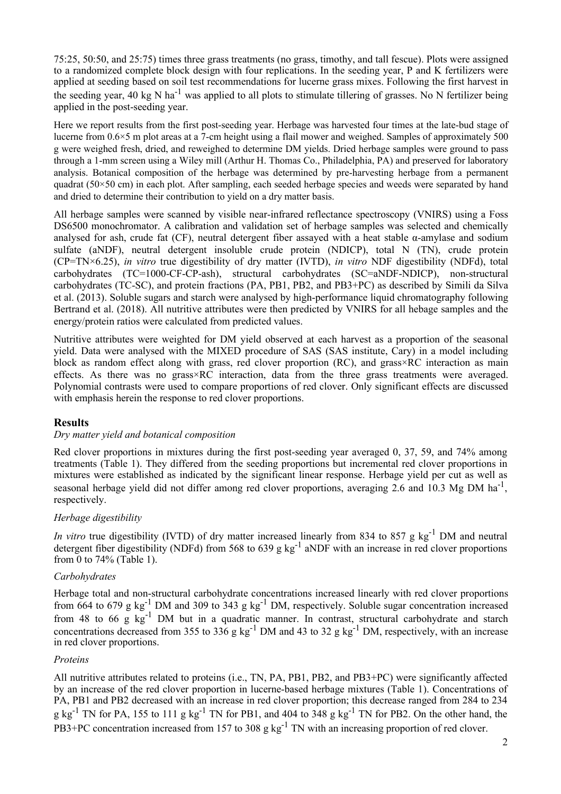75:25, 50:50, and 25:75) times three grass treatments (no grass, timothy, and tall fescue). Plots were assigned to a randomized complete block design with four replications. In the seeding year, P and K fertilizers were applied at seeding based on soil test recommendations for lucerne grass mixes. Following the first harvest in the seeding year, 40 kg N ha<sup>-1</sup> was applied to all plots to stimulate tillering of grasses. No N fertilizer being applied in the post-seeding year.

Here we report results from the first post-seeding year. Herbage was harvested four times at the late-bud stage of lucerne from 0.6×5 m plot areas at a 7-cm height using a flail mower and weighed. Samples of approximately 500 g were weighed fresh, dried, and reweighed to determine DM yields. Dried herbage samples were ground to pass through a 1-mm screen using a Wiley mill (Arthur H. Thomas Co., Philadelphia, PA) and preserved for laboratory analysis. Botanical composition of the herbage was determined by pre-harvesting herbage from a permanent quadrat (50×50 cm) in each plot. After sampling, each seeded herbage species and weeds were separated by hand and dried to determine their contribution to yield on a dry matter basis.

All herbage samples were scanned by visible near-infrared reflectance spectroscopy (VNIRS) using a Foss DS6500 monochromator. A calibration and validation set of herbage samples was selected and chemically analysed for ash, crude fat (CF), neutral detergent fiber assayed with a heat stable  $\alpha$ -amylase and sodium sulfate (aNDF), neutral detergent insoluble crude protein (NDICP), total N (TN), crude protein (CP=TN×6.25), *in vitro* true digestibility of dry matter (IVTD), *in vitro* NDF digestibility (NDFd), total carbohydrates (TC=1000-CF-CP-ash), structural carbohydrates (SC=aNDF-NDICP), non-structural carbohydrates (TC-SC), and protein fractions (PA, PB1, PB2, and PB3+PC) as described by Simili da Silva et al. (2013). Soluble sugars and starch were analysed by high-performance liquid chromatography following Bertrand et al. (2018). All nutritive attributes were then predicted by VNIRS for all hebage samples and the energy/protein ratios were calculated from predicted values.

Nutritive attributes were weighted for DM yield observed at each harvest as a proportion of the seasonal yield. Data were analysed with the MIXED procedure of SAS (SAS institute, Cary) in a model including block as random effect along with grass, red clover proportion (RC), and grass×RC interaction as main effects. As there was no grass×RC interaction, data from the three grass treatments were averaged. Polynomial contrasts were used to compare proportions of red clover. Only significant effects are discussed with emphasis herein the response to red clover proportions.

#### **Results**

#### *Dry matter yield and botanical composition*

Red clover proportions in mixtures during the first post-seeding year averaged 0, 37, 59, and 74% among treatments (Table 1). They differed from the seeding proportions but incremental red clover proportions in mixtures were established as indicated by the significant linear response. Herbage yield per cut as well as seasonal herbage yield did not differ among red clover proportions, averaging 2.6 and 10.3 Mg DM ha<sup>-1</sup>, respectively.

#### *Herbage digestibility*

*In vitro* true digestibility (IVTD) of dry matter increased linearly from 834 to 857 g kg<sup>-1</sup> DM and neutral detergent fiber digestibility (NDFd) from 568 to 639 g kg<sup>-1</sup> aNDF with an increase in red clover proportions from 0 to 74% (Table 1).

#### *Carbohydrates*

Herbage total and non-structural carbohydrate concentrations increased linearly with red clover proportions from 664 to 679 g  $kg^{-1}$  DM and 309 to 343 g  $kg^{-1}$  DM, respectively. Soluble sugar concentration increased from 48 to 66 g kg<sup>-1</sup> DM but in a quadratic manner. In contrast, structural carbohydrate and starch concentrations decreased from 355 to 336 g kg<sup>-1</sup> DM and 43 to 32 g kg<sup>-1</sup> DM, respectively, with an increase in red clover proportions.

#### *Proteins*

All nutritive attributes related to proteins (i.e., TN, PA, PB1, PB2, and PB3+PC) were significantly affected by an increase of the red clover proportion in lucerne-based herbage mixtures (Table 1). Concentrations of PA, PB1 and PB2 decreased with an increase in red clover proportion; this decrease ranged from 284 to 234 g kg<sup>-1</sup> TN for PA, 155 to 111 g kg<sup>-1</sup> TN for PB1, and 404 to 348 g kg<sup>-1</sup> TN for PB2. On the other hand, the PB3+PC concentration increased from 157 to 308 g  $kg^{-1}$  TN with an increasing proportion of red clover.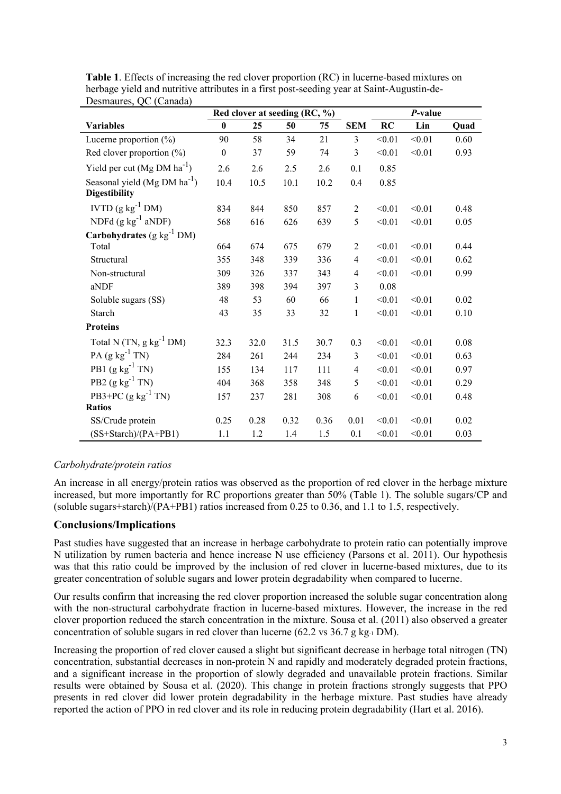|                                                          | Red clover at seeding (RC, %) |      |      |      |                | P-value |        |      |
|----------------------------------------------------------|-------------------------------|------|------|------|----------------|---------|--------|------|
| <b>Variables</b>                                         | $\bf{0}$                      | 25   | 50   | 75   | <b>SEM</b>     | RC      | Lin    | Quad |
| Lucerne proportion (%)                                   | 90                            | 58   | 34   | 21   | $\overline{3}$ | < 0.01  | < 0.01 | 0.60 |
| Red clover proportion (%)                                | $\boldsymbol{0}$              | 37   | 59   | 74   | $\overline{3}$ | < 0.01  | < 0.01 | 0.93 |
| Yield per cut $(Mg DM ha^{-1})$                          | 2.6                           | 2.6  | 2.5  | 2.6  | 0.1            | 0.85    |        |      |
| Seasonal yield $(Mg DM ha^{-1})$<br><b>Digestibility</b> | 10.4                          | 10.5 | 10.1 | 10.2 | 0.4            | 0.85    |        |      |
| IVTD $(g kg^{-1} DM)$                                    | 834                           | 844  | 850  | 857  | $\overline{2}$ | < 0.01  | < 0.01 | 0.48 |
| NDFd $(g kg^{-1} a NDF)$                                 | 568                           | 616  | 626  | 639  | 5              | < 0.01  | < 0.01 | 0.05 |
| Carbohydrates $(g kg^{-1} DM)$                           |                               |      |      |      |                |         |        |      |
| Total                                                    | 664                           | 674  | 675  | 679  | $\overline{2}$ | < 0.01  | < 0.01 | 0.44 |
| Structural                                               | 355                           | 348  | 339  | 336  | $\overline{4}$ | < 0.01  | < 0.01 | 0.62 |
| Non-structural                                           | 309                           | 326  | 337  | 343  | $\overline{4}$ | < 0.01  | < 0.01 | 0.99 |
| aNDF                                                     | 389                           | 398  | 394  | 397  | $\overline{3}$ | 0.08    |        |      |
| Soluble sugars (SS)                                      | 48                            | 53   | 60   | 66   | $\mathbf{1}$   | < 0.01  | < 0.01 | 0.02 |
| Starch                                                   | 43                            | 35   | 33   | 32   | $\mathbf{1}$   | < 0.01  | < 0.01 | 0.10 |
| <b>Proteins</b>                                          |                               |      |      |      |                |         |        |      |
| Total N $(TN, g kg^{-1} DM)$                             | 32.3                          | 32.0 | 31.5 | 30.7 | 0.3            | < 0.01  | < 0.01 | 0.08 |
| PA $(g kg^{-1} TN)$                                      | 284                           | 261  | 244  | 234  | $\overline{3}$ | < 0.01  | < 0.01 | 0.63 |
| PB1 $(g kg^{-1} TN)$                                     | 155                           | 134  | 117  | 111  | $\overline{4}$ | < 0.01  | < 0.01 | 0.97 |
| PB2 $(g kg^{-1} TN)$                                     | 404                           | 368  | 358  | 348  | 5              | < 0.01  | < 0.01 | 0.29 |
| PB3+PC $(g kg^{-1} TN)$                                  | 157                           | 237  | 281  | 308  | 6              | < 0.01  | < 0.01 | 0.48 |
| <b>Ratios</b>                                            |                               |      |      |      |                |         |        |      |
| SS/Crude protein                                         | 0.25                          | 0.28 | 0.32 | 0.36 | 0.01           | < 0.01  | < 0.01 | 0.02 |
| (SS+Starch)/(PA+PB1)                                     | 1.1                           | 1.2  | 1.4  | 1.5  | 0.1            | < 0.01  | < 0.01 | 0.03 |

**Table 1**. Effects of increasing the red clover proportion (RC) in lucerne-based mixtures on herbage yield and nutritive attributes in a first post-seeding year at Saint-Augustin-de-Desmaures, QC (Canada)

#### *Carbohydrate/protein ratios*

An increase in all energy/protein ratios was observed as the proportion of red clover in the herbage mixture increased, but more importantly for RC proportions greater than 50% (Table 1). The soluble sugars/CP and (soluble sugars+starch)/(PA+PB1) ratios increased from 0.25 to 0.36, and 1.1 to 1.5, respectively.

#### **Conclusions/Implications**

Past studies have suggested that an increase in herbage carbohydrate to protein ratio can potentially improve N utilization by rumen bacteria and hence increase N use efficiency (Parsons et al. 2011). Our hypothesis was that this ratio could be improved by the inclusion of red clover in lucerne-based mixtures, due to its greater concentration of soluble sugars and lower protein degradability when compared to lucerne.

Our results confirm that increasing the red clover proportion increased the soluble sugar concentration along with the non-structural carbohydrate fraction in lucerne-based mixtures. However, the increase in the red clover proportion reduced the starch concentration in the mixture. Sousa et al. (2011) also observed a greater concentration of soluble sugars in red clover than lucerne (62.2 vs 36.7 g kg-1 DM).

Increasing the proportion of red clover caused a slight but significant decrease in herbage total nitrogen (TN) concentration, substantial decreases in non-protein N and rapidly and moderately degraded protein fractions, and a significant increase in the proportion of slowly degraded and unavailable protein fractions. Similar results were obtained by Sousa et al. (2020). This change in protein fractions strongly suggests that PPO presents in red clover did lower protein degradability in the herbage mixture. Past studies have already reported the action of PPO in red clover and its role in reducing protein degradability (Hart et al. 2016).